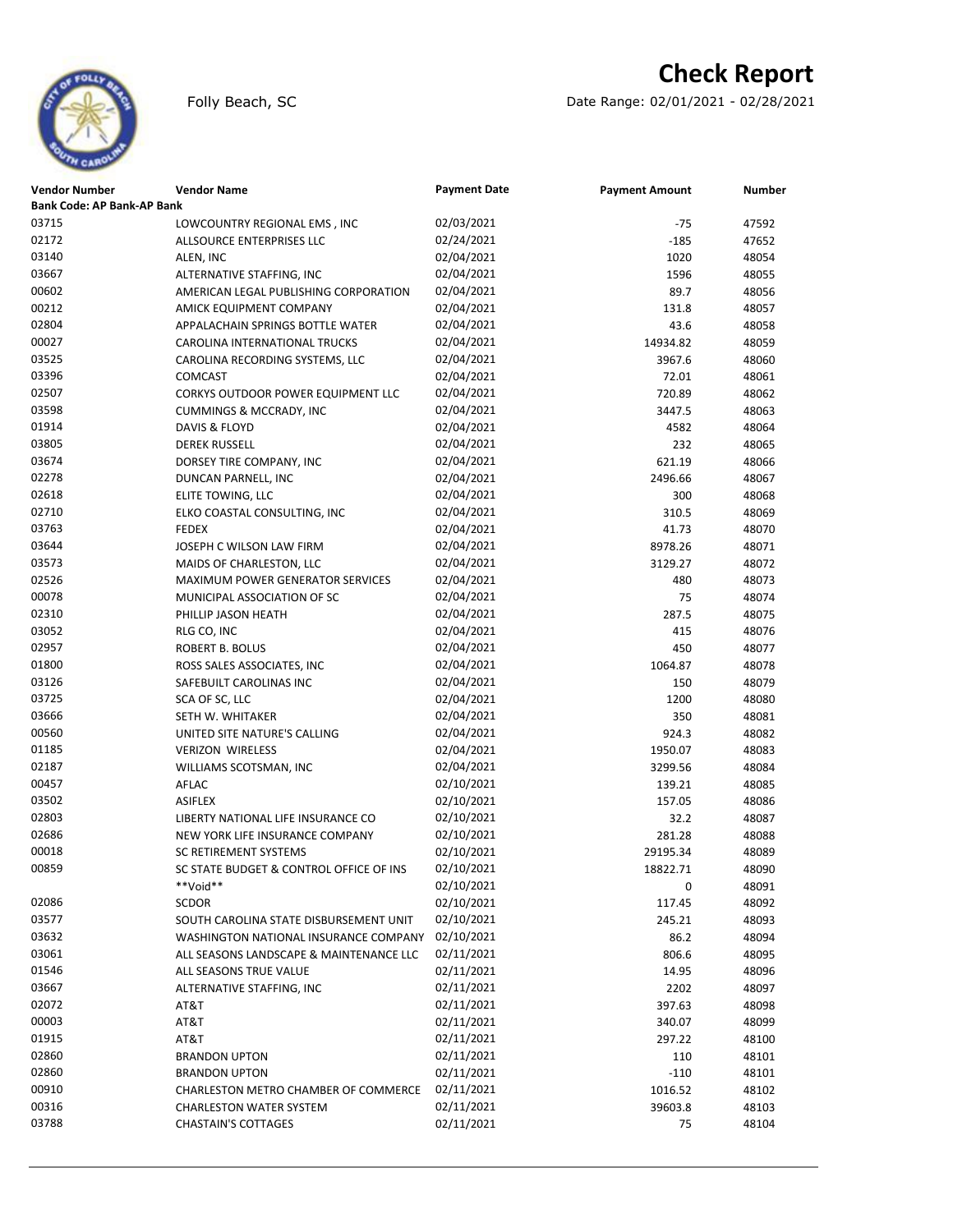# **Check Report**

Folly Beach, SC Date Range: 02/01/2021 - 02/28/2021

| <b>Vendor Number</b>              | <b>Vendor Name</b>                      | <b>Payment Date</b> | <b>Payment Amount</b> | <b>Number</b> |
|-----------------------------------|-----------------------------------------|---------------------|-----------------------|---------------|
| <b>Bank Code: AP Bank-AP Bank</b> |                                         |                     |                       |               |
| 03715                             | LOWCOUNTRY REGIONAL EMS, INC            | 02/03/2021          | -75                   | 47592         |
| 02172                             | ALLSOURCE ENTERPRISES LLC               | 02/24/2021          | $-185$                | 47652         |
| 03140                             | ALEN, INC                               | 02/04/2021          | 1020                  | 48054         |
| 03667                             | ALTERNATIVE STAFFING, INC               | 02/04/2021          | 1596                  | 48055         |
| 00602                             | AMERICAN LEGAL PUBLISHING CORPORATION   | 02/04/2021          | 89.7                  | 48056         |
| 00212                             | AMICK EQUIPMENT COMPANY                 | 02/04/2021          | 131.8                 | 48057         |
| 02804                             | APPALACHAIN SPRINGS BOTTLE WATER        | 02/04/2021          | 43.6                  | 48058         |
| 00027                             | CAROLINA INTERNATIONAL TRUCKS           | 02/04/2021          | 14934.82              | 48059         |
| 03525                             | CAROLINA RECORDING SYSTEMS, LLC         | 02/04/2021          | 3967.6                | 48060         |
| 03396                             | COMCAST                                 | 02/04/2021          | 72.01                 | 48061         |
| 02507                             | CORKYS OUTDOOR POWER EQUIPMENT LLC      | 02/04/2021          | 720.89                | 48062         |
| 03598                             | <b>CUMMINGS &amp; MCCRADY, INC</b>      | 02/04/2021          | 3447.5                | 48063         |
| 01914                             | DAVIS & FLOYD                           | 02/04/2021          | 4582                  | 48064         |
| 03805                             | <b>DEREK RUSSELL</b>                    | 02/04/2021          | 232                   | 48065         |
| 03674                             | DORSEY TIRE COMPANY, INC                | 02/04/2021          | 621.19                | 48066         |
| 02278                             | DUNCAN PARNELL, INC                     | 02/04/2021          | 2496.66               | 48067         |
| 02618                             | ELITE TOWING, LLC                       | 02/04/2021          | 300                   | 48068         |
| 02710                             | ELKO COASTAL CONSULTING, INC            | 02/04/2021          | 310.5                 | 48069         |
| 03763                             | <b>FEDEX</b>                            | 02/04/2021          | 41.73                 | 48070         |
| 03644                             | JOSEPH C WILSON LAW FIRM                | 02/04/2021          | 8978.26               | 48071         |
| 03573                             | MAIDS OF CHARLESTON, LLC                | 02/04/2021          | 3129.27               | 48072         |
| 02526                             | <b>MAXIMUM POWER GENERATOR SERVICES</b> | 02/04/2021          | 480                   | 48073         |
| 00078                             | MUNICIPAL ASSOCIATION OF SC             | 02/04/2021          | 75                    | 48074         |
| 02310                             | PHILLIP JASON HEATH                     | 02/04/2021          | 287.5                 | 48075         |
| 03052                             | RLG CO, INC                             | 02/04/2021          | 415                   | 48076         |
| 02957                             | ROBERT B. BOLUS                         | 02/04/2021          | 450                   | 48077         |
| 01800                             | ROSS SALES ASSOCIATES, INC              | 02/04/2021          | 1064.87               | 48078         |
| 03126                             | SAFEBUILT CAROLINAS INC                 | 02/04/2021          | 150                   | 48079         |
| 03725                             | SCA OF SC, LLC                          | 02/04/2021          | 1200                  | 48080         |
| 03666                             | SETH W. WHITAKER                        | 02/04/2021          | 350                   | 48081         |
| 00560                             | UNITED SITE NATURE'S CALLING            | 02/04/2021          | 924.3                 | 48082         |
| 01185                             | <b>VERIZON WIRELESS</b>                 | 02/04/2021          | 1950.07               | 48083         |
| 02187                             | WILLIAMS SCOTSMAN, INC                  | 02/04/2021          | 3299.56               | 48084         |
| 00457                             | AFLAC                                   | 02/10/2021          | 139.21                | 48085         |
| 03502                             | <b>ASIFLEX</b>                          | 02/10/2021          | 157.05                | 48086         |
| 02803                             | LIBERTY NATIONAL LIFE INSURANCE CO      | 02/10/2021          | 32.2                  | 48087         |
| 02686                             | NEW YORK LIFE INSURANCE COMPANY         | 02/10/2021          | 281.28                | 48088         |
| 00018                             | <b>SC RETIREMENT SYSTEMS</b>            | 02/10/2021          | 29195.34              | 48089         |
| 00859                             | SC STATE BUDGET & CONTROL OFFICE OF INS | 02/10/2021          | 18822.71              | 48090         |
|                                   | **Void**                                | 02/10/2021          | 0                     | 48091         |
| 02086                             | <b>SCDOR</b>                            | 02/10/2021          | 117.45                | 48092         |
| 03577                             | SOUTH CAROLINA STATE DISBURSEMENT UNIT  | 02/10/2021          | 245.21                | 48093         |
| 03632                             | WASHINGTON NATIONAL INSURANCE COMPANY   | 02/10/2021          | 86.2                  | 48094         |
| 03061                             | ALL SEASONS LANDSCAPE & MAINTENANCE LLC | 02/11/2021          | 806.6                 | 48095         |
| 01546                             | ALL SEASONS TRUE VALUE                  | 02/11/2021          | 14.95                 | 48096         |
| 03667                             | ALTERNATIVE STAFFING, INC               | 02/11/2021          | 2202                  | 48097         |
| 02072                             | AT&T                                    | 02/11/2021          | 397.63                | 48098         |
| 00003                             | AT&T                                    | 02/11/2021          | 340.07                | 48099         |
| 01915                             | AT&T                                    | 02/11/2021          | 297.22                | 48100         |
| 02860                             | <b>BRANDON UPTON</b>                    | 02/11/2021          | 110                   | 48101         |
| 02860                             | <b>BRANDON UPTON</b>                    | 02/11/2021          | $-110$                | 48101         |
| 00910                             | CHARLESTON METRO CHAMBER OF COMMERCE    | 02/11/2021          | 1016.52               | 48102         |
| 00316                             | <b>CHARLESTON WATER SYSTEM</b>          | 02/11/2021          | 39603.8               | 48103         |
| 03788                             | <b>CHASTAIN'S COTTAGES</b>              | 02/11/2021          | 75                    | 48104         |
|                                   |                                         |                     |                       |               |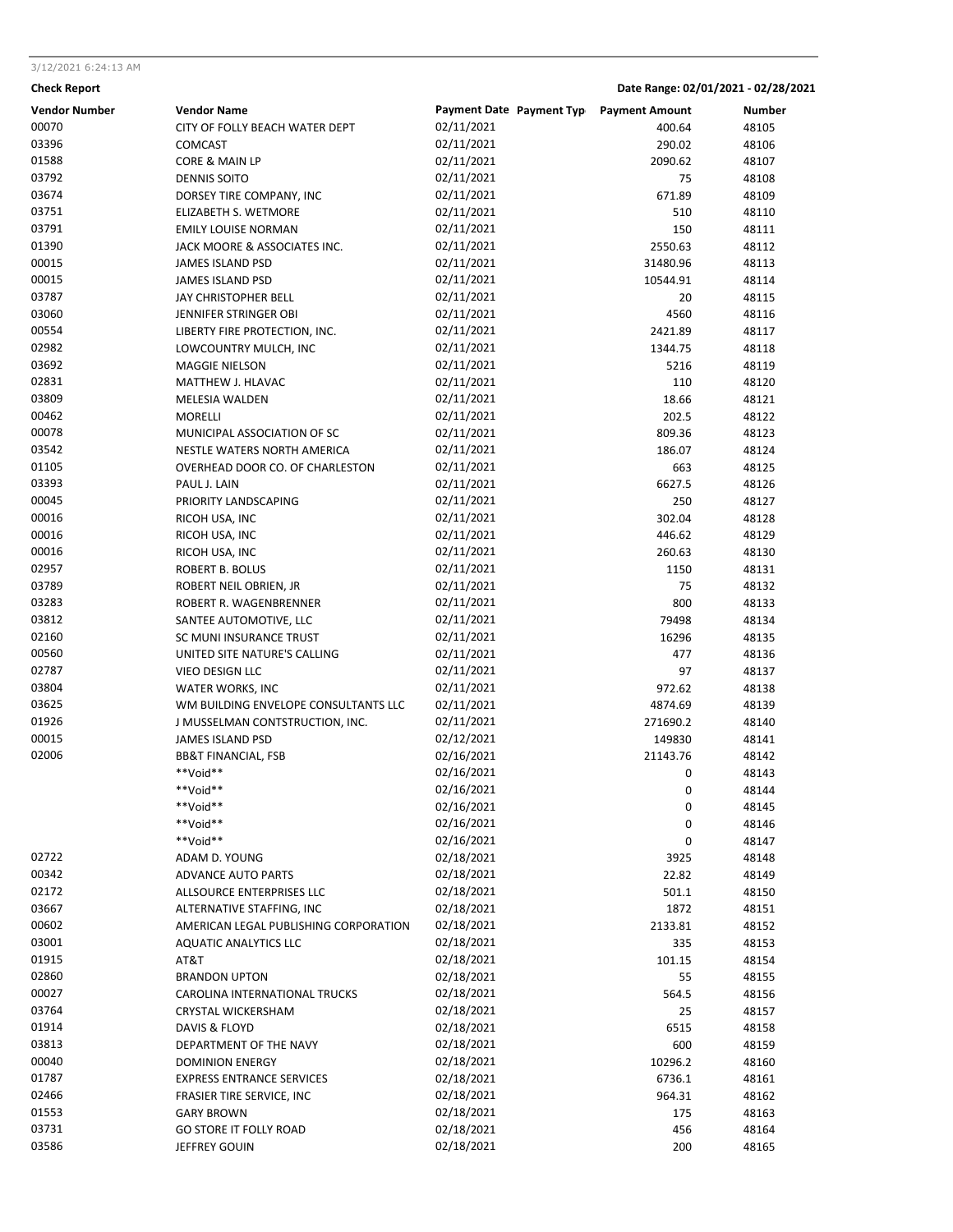### 3/12/2021 6:24:13 AM

# **Check Report Date Range: 02/01/2021 - 02/28/2021**

| <b>Vendor Number</b> | <b>Vendor Name</b>                    | Payment Date Payment Typ Payment Amount |          | <b>Number</b> |
|----------------------|---------------------------------------|-----------------------------------------|----------|---------------|
| 00070                | CITY OF FOLLY BEACH WATER DEPT        | 02/11/2021                              | 400.64   | 48105         |
| 03396                | <b>COMCAST</b>                        | 02/11/2021                              | 290.02   | 48106         |
| 01588                | CORE & MAIN LP                        | 02/11/2021                              | 2090.62  | 48107         |
| 03792                | <b>DENNIS SOITO</b>                   | 02/11/2021                              | 75       | 48108         |
| 03674                | DORSEY TIRE COMPANY, INC              | 02/11/2021                              | 671.89   | 48109         |
| 03751                | ELIZABETH S. WETMORE                  | 02/11/2021                              | 510      | 48110         |
| 03791                | <b>EMILY LOUISE NORMAN</b>            | 02/11/2021                              | 150      | 48111         |
| 01390                | JACK MOORE & ASSOCIATES INC.          | 02/11/2021                              | 2550.63  | 48112         |
| 00015                | JAMES ISLAND PSD                      | 02/11/2021                              | 31480.96 | 48113         |
| 00015                | JAMES ISLAND PSD                      | 02/11/2021                              | 10544.91 | 48114         |
| 03787                | JAY CHRISTOPHER BELL                  | 02/11/2021                              | 20       | 48115         |
| 03060                | JENNIFER STRINGER OBI                 | 02/11/2021                              | 4560     | 48116         |
| 00554                | LIBERTY FIRE PROTECTION, INC.         | 02/11/2021                              | 2421.89  | 48117         |
| 02982                | LOWCOUNTRY MULCH, INC                 | 02/11/2021                              | 1344.75  | 48118         |
| 03692                | <b>MAGGIE NIELSON</b>                 | 02/11/2021                              | 5216     | 48119         |
| 02831                | MATTHEW J. HLAVAC                     | 02/11/2021                              | 110      | 48120         |
| 03809                | MELESIA WALDEN                        | 02/11/2021                              | 18.66    | 48121         |
| 00462                | <b>MORELLI</b>                        | 02/11/2021                              | 202.5    | 48122         |
| 00078                | MUNICIPAL ASSOCIATION OF SC           | 02/11/2021                              | 809.36   | 48123         |
| 03542                | NESTLE WATERS NORTH AMERICA           | 02/11/2021                              | 186.07   | 48124         |
| 01105                | OVERHEAD DOOR CO. OF CHARLESTON       | 02/11/2021                              | 663      | 48125         |
| 03393                | PAUL J. LAIN                          | 02/11/2021                              | 6627.5   | 48126         |
| 00045                | PRIORITY LANDSCAPING                  | 02/11/2021                              | 250      | 48127         |
| 00016                | RICOH USA, INC                        | 02/11/2021                              | 302.04   | 48128         |
| 00016                | RICOH USA, INC                        | 02/11/2021                              | 446.62   | 48129         |
| 00016                | RICOH USA, INC                        | 02/11/2021                              | 260.63   | 48130         |
| 02957                | ROBERT B. BOLUS                       | 02/11/2021                              | 1150     | 48131         |
| 03789                | ROBERT NEIL OBRIEN, JR                | 02/11/2021                              | 75       | 48132         |
| 03283                | ROBERT R. WAGENBRENNER                | 02/11/2021                              | 800      | 48133         |
| 03812                | SANTEE AUTOMOTIVE, LLC                | 02/11/2021                              | 79498    | 48134         |
| 02160                | SC MUNI INSURANCE TRUST               | 02/11/2021                              | 16296    | 48135         |
| 00560                | UNITED SITE NATURE'S CALLING          | 02/11/2021                              | 477      | 48136         |
| 02787                | VIEO DESIGN LLC                       | 02/11/2021                              | 97       | 48137         |
| 03804                | WATER WORKS, INC                      | 02/11/2021                              | 972.62   | 48138         |
| 03625                | WM BUILDING ENVELOPE CONSULTANTS LLC  | 02/11/2021                              | 4874.69  | 48139         |
| 01926                | J MUSSELMAN CONTSTRUCTION, INC.       | 02/11/2021                              | 271690.2 | 48140         |
| 00015                | <b>JAMES ISLAND PSD</b>               | 02/12/2021                              | 149830   | 48141         |
| 02006                | <b>BB&amp;T FINANCIAL, FSB</b>        | 02/16/2021                              | 21143.76 | 48142         |
|                      | **Void**                              | 02/16/2021                              | 0        | 48143         |
|                      | **Void**                              | 02/16/2021                              | 0        | 48144         |
|                      | **Void**                              | 02/16/2021                              | 0        | 48145         |
|                      | **Void**                              | 02/16/2021                              | 0        | 48146         |
|                      | **Void**                              | 02/16/2021                              | 0        | 48147         |
| 02722                | ADAM D. YOUNG                         | 02/18/2021                              | 3925     | 48148         |
| 00342                | <b>ADVANCE AUTO PARTS</b>             | 02/18/2021                              | 22.82    | 48149         |
| 02172                | ALLSOURCE ENTERPRISES LLC             | 02/18/2021                              | 501.1    | 48150         |
| 03667                | ALTERNATIVE STAFFING, INC             | 02/18/2021                              | 1872     | 48151         |
| 00602                | AMERICAN LEGAL PUBLISHING CORPORATION | 02/18/2021                              | 2133.81  | 48152         |
| 03001                | <b>AQUATIC ANALYTICS LLC</b>          | 02/18/2021                              | 335      | 48153         |
| 01915                | AT&T                                  | 02/18/2021                              | 101.15   | 48154         |
| 02860                | <b>BRANDON UPTON</b>                  | 02/18/2021                              | 55       | 48155         |
| 00027                | CAROLINA INTERNATIONAL TRUCKS         | 02/18/2021                              | 564.5    | 48156         |
| 03764                | CRYSTAL WICKERSHAM                    | 02/18/2021                              | 25       | 48157         |
| 01914                | DAVIS & FLOYD                         | 02/18/2021                              | 6515     | 48158         |
| 03813                | DEPARTMENT OF THE NAVY                | 02/18/2021                              | 600      | 48159         |
| 00040                | <b>DOMINION ENERGY</b>                | 02/18/2021                              | 10296.2  | 48160         |
| 01787                | <b>EXPRESS ENTRANCE SERVICES</b>      | 02/18/2021                              | 6736.1   | 48161         |
| 02466                | <b>FRASIER TIRE SERVICE, INC</b>      | 02/18/2021                              | 964.31   | 48162         |
| 01553                | <b>GARY BROWN</b>                     | 02/18/2021                              | 175      | 48163         |
| 03731<br>03586       | <b>GO STORE IT FOLLY ROAD</b>         | 02/18/2021<br>02/18/2021                | 456      | 48164         |
|                      | JEFFREY GOUIN                         |                                         | 200      | 48165         |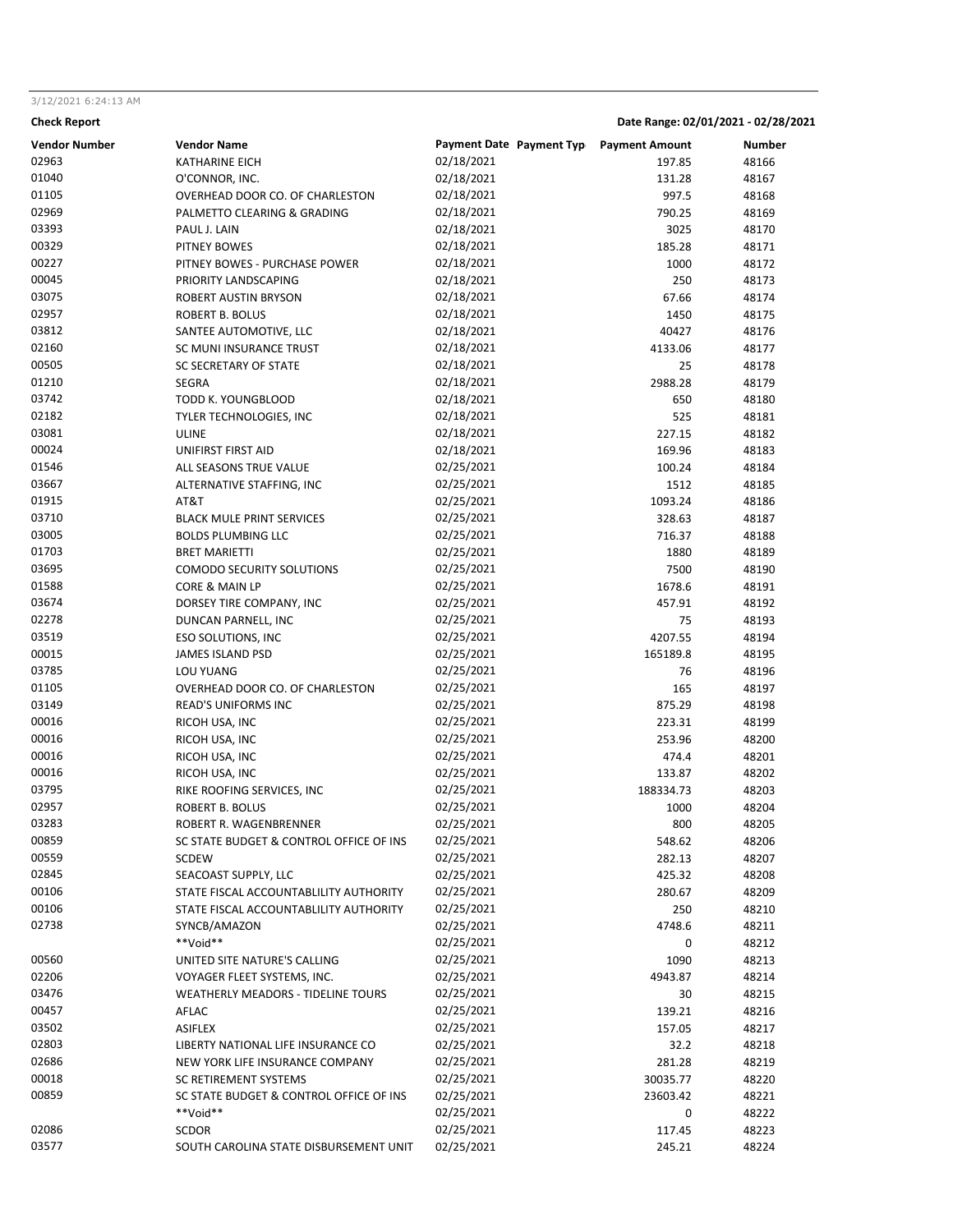# 3/12/2021 6:24:13 AM

```
Check Report Date Range: 02/01/2021 - 02/28/2021
```

| <b>Vendor Number</b> | <b>Vendor Name</b>                        | Payment Date Payment Typ Payment Amount |           | Number |
|----------------------|-------------------------------------------|-----------------------------------------|-----------|--------|
| 02963                | <b>KATHARINE EICH</b>                     | 02/18/2021                              | 197.85    | 48166  |
| 01040                | O'CONNOR, INC.                            | 02/18/2021                              | 131.28    | 48167  |
| 01105                | OVERHEAD DOOR CO. OF CHARLESTON           | 02/18/2021                              | 997.5     | 48168  |
| 02969                | PALMETTO CLEARING & GRADING               | 02/18/2021                              | 790.25    | 48169  |
| 03393                | PAUL J. LAIN                              | 02/18/2021                              | 3025      | 48170  |
| 00329                | PITNEY BOWES                              | 02/18/2021                              | 185.28    | 48171  |
| 00227                | PITNEY BOWES - PURCHASE POWER             | 02/18/2021                              | 1000      | 48172  |
| 00045                | PRIORITY LANDSCAPING                      | 02/18/2021                              | 250       | 48173  |
| 03075                | ROBERT AUSTIN BRYSON                      | 02/18/2021                              | 67.66     | 48174  |
| 02957                | ROBERT B. BOLUS                           | 02/18/2021                              | 1450      | 48175  |
| 03812                | SANTEE AUTOMOTIVE, LLC                    | 02/18/2021                              | 40427     | 48176  |
| 02160                |                                           | 02/18/2021                              |           |        |
|                      | SC MUNI INSURANCE TRUST                   |                                         | 4133.06   | 48177  |
| 00505                | <b>SC SECRETARY OF STATE</b>              | 02/18/2021                              | 25        | 48178  |
| 01210                | SEGRA                                     | 02/18/2021                              | 2988.28   | 48179  |
| 03742                | TODD K. YOUNGBLOOD                        | 02/18/2021                              | 650       | 48180  |
| 02182                | TYLER TECHNOLOGIES, INC                   | 02/18/2021                              | 525       | 48181  |
| 03081                | <b>ULINE</b>                              | 02/18/2021                              | 227.15    | 48182  |
| 00024                | UNIFIRST FIRST AID                        | 02/18/2021                              | 169.96    | 48183  |
| 01546                | ALL SEASONS TRUE VALUE                    | 02/25/2021                              | 100.24    | 48184  |
| 03667                | ALTERNATIVE STAFFING, INC                 | 02/25/2021                              | 1512      | 48185  |
| 01915                | AT&T                                      | 02/25/2021                              | 1093.24   | 48186  |
| 03710                | <b>BLACK MULE PRINT SERVICES</b>          | 02/25/2021                              | 328.63    | 48187  |
| 03005                | <b>BOLDS PLUMBING LLC</b>                 | 02/25/2021                              | 716.37    | 48188  |
| 01703                | <b>BRET MARIETTI</b>                      | 02/25/2021                              | 1880      | 48189  |
| 03695                | COMODO SECURITY SOLUTIONS                 | 02/25/2021                              | 7500      | 48190  |
| 01588                | CORE & MAIN LP                            | 02/25/2021                              | 1678.6    | 48191  |
| 03674                | DORSEY TIRE COMPANY, INC                  | 02/25/2021                              | 457.91    | 48192  |
| 02278                | DUNCAN PARNELL, INC                       | 02/25/2021                              | 75        | 48193  |
| 03519                | ESO SOLUTIONS, INC                        | 02/25/2021                              | 4207.55   | 48194  |
| 00015                | JAMES ISLAND PSD                          | 02/25/2021                              | 165189.8  | 48195  |
| 03785                | <b>LOU YUANG</b>                          | 02/25/2021                              | 76        | 48196  |
| 01105                | OVERHEAD DOOR CO. OF CHARLESTON           | 02/25/2021                              | 165       | 48197  |
| 03149                | <b>READ'S UNIFORMS INC</b>                | 02/25/2021                              | 875.29    | 48198  |
| 00016                |                                           | 02/25/2021                              |           |        |
| 00016                | RICOH USA, INC                            |                                         | 223.31    | 48199  |
|                      | RICOH USA, INC                            | 02/25/2021                              | 253.96    | 48200  |
| 00016                | RICOH USA, INC                            | 02/25/2021                              | 474.4     | 48201  |
| 00016                | RICOH USA, INC                            | 02/25/2021                              | 133.87    | 48202  |
| 03795                | RIKE ROOFING SERVICES, INC                | 02/25/2021                              | 188334.73 | 48203  |
| 02957                | ROBERT B. BOLUS                           | 02/25/2021                              | 1000      | 48204  |
| 03283                | ROBERT R. WAGENBRENNER                    | 02/25/2021                              | 800       | 48205  |
| 00859                | SC STATE BUDGET & CONTROL OFFICE OF INS   | 02/25/2021                              | 548.62    | 48206  |
| 00559                | <b>SCDEW</b>                              | 02/25/2021                              | 282.13    | 48207  |
| 02845                | SEACOAST SUPPLY, LLC                      | 02/25/2021                              | 425.32    | 48208  |
| 00106                | STATE FISCAL ACCOUNTABLILITY AUTHORITY    | 02/25/2021                              | 280.67    | 48209  |
| 00106                | STATE FISCAL ACCOUNTABLILITY AUTHORITY    | 02/25/2021                              | 250       | 48210  |
| 02738                | SYNCB/AMAZON                              | 02/25/2021                              | 4748.6    | 48211  |
|                      | **Void**                                  | 02/25/2021                              | 0         | 48212  |
| 00560                | UNITED SITE NATURE'S CALLING              | 02/25/2021                              | 1090      | 48213  |
| 02206                | VOYAGER FLEET SYSTEMS, INC.               | 02/25/2021                              | 4943.87   | 48214  |
| 03476                | <b>WEATHERLY MEADORS - TIDELINE TOURS</b> | 02/25/2021                              | 30        | 48215  |
| 00457                | AFLAC                                     | 02/25/2021                              | 139.21    | 48216  |
| 03502                | <b>ASIFLEX</b>                            | 02/25/2021                              | 157.05    | 48217  |
| 02803                | LIBERTY NATIONAL LIFE INSURANCE CO        | 02/25/2021                              | 32.2      | 48218  |
| 02686                | NEW YORK LIFE INSURANCE COMPANY           | 02/25/2021                              | 281.28    | 48219  |
| 00018                | SC RETIREMENT SYSTEMS                     | 02/25/2021                              | 30035.77  | 48220  |
|                      |                                           | 02/25/2021                              |           |        |
| 00859                | SC STATE BUDGET & CONTROL OFFICE OF INS   |                                         | 23603.42  | 48221  |
|                      | **Void**                                  | 02/25/2021                              | 0         | 48222  |
| 02086                | <b>SCDOR</b>                              | 02/25/2021                              | 117.45    | 48223  |
| 03577                | SOUTH CAROLINA STATE DISBURSEMENT UNIT    | 02/25/2021                              | 245.21    | 48224  |